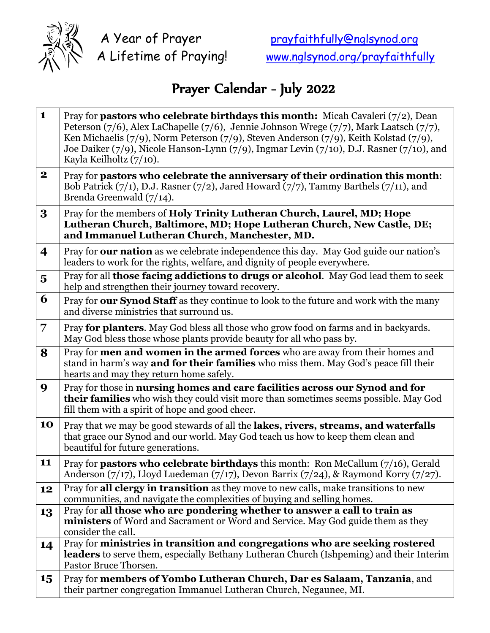

## Prayer Calendar - July 2022

| $\mathbf{1}$            | Pray for <b>pastors who celebrate birthdays this month:</b> Micah Cavaleri $(7/2)$ , Dean<br>Peterson (7/6), Alex LaChapelle (7/6), Jennie Johnson Wrege (7/7), Mark Laatsch (7/7),<br>Ken Michaelis (7/9), Norm Peterson (7/9), Steven Anderson (7/9), Keith Kolstad (7/9),<br>Joe Daiker (7/9), Nicole Hanson-Lynn (7/9), Ingmar Levin (7/10), D.J. Rasner (7/10), and<br>Kayla Keilholtz (7/10). |
|-------------------------|-----------------------------------------------------------------------------------------------------------------------------------------------------------------------------------------------------------------------------------------------------------------------------------------------------------------------------------------------------------------------------------------------------|
| $\mathbf{2}$            | Pray for pastors who celebrate the anniversary of their ordination this month:<br>Bob Patrick $(7/1)$ , D.J. Rasner $(7/2)$ , Jared Howard $(7/7)$ , Tammy Barthels $(7/11)$ , and<br>Brenda Greenwald (7/14).                                                                                                                                                                                      |
| 3                       | Pray for the members of Holy Trinity Lutheran Church, Laurel, MD; Hope<br>Lutheran Church, Baltimore, MD; Hope Lutheran Church, New Castle, DE;<br>and Immanuel Lutheran Church, Manchester, MD.                                                                                                                                                                                                    |
| 4                       | Pray for our nation as we celebrate independence this day. May God guide our nation's<br>leaders to work for the rights, welfare, and dignity of people everywhere.                                                                                                                                                                                                                                 |
| $\overline{\mathbf{5}}$ | Pray for all those facing addictions to drugs or alcohol. May God lead them to seek<br>help and strengthen their journey toward recovery.                                                                                                                                                                                                                                                           |
| 6                       | Pray for our Synod Staff as they continue to look to the future and work with the many<br>and diverse ministries that surround us.                                                                                                                                                                                                                                                                  |
| 7                       | Pray for planters. May God bless all those who grow food on farms and in backyards.<br>May God bless those whose plants provide beauty for all who pass by.                                                                                                                                                                                                                                         |
| 8                       | Pray for men and women in the armed forces who are away from their homes and<br>stand in harm's way <b>and for their families</b> who miss them. May God's peace fill their<br>hearts and may they return home safely.                                                                                                                                                                              |
| 9                       | Pray for those in nursing homes and care facilities across our Synod and for<br>their families who wish they could visit more than sometimes seems possible. May God<br>fill them with a spirit of hope and good cheer.                                                                                                                                                                             |
| 10                      | Pray that we may be good stewards of all the lakes, rivers, streams, and waterfalls<br>that grace our Synod and our world. May God teach us how to keep them clean and<br>beautiful for future generations.                                                                                                                                                                                         |
| 11                      | Pray for pastors who celebrate birthdays this month: Ron McCallum (7/16), Gerald<br>Anderson $(7/17)$ , Lloyd Luedeman $(7/17)$ , Devon Barrix $(7/24)$ , & Raymond Korry $(7/27)$ .                                                                                                                                                                                                                |
| 12                      | Pray for all clergy in transition as they move to new calls, make transitions to new<br>communities, and navigate the complexities of buying and selling homes.                                                                                                                                                                                                                                     |
| 13                      | Pray for all those who are pondering whether to answer a call to train as<br>ministers of Word and Sacrament or Word and Service. May God guide them as they<br>consider the call.                                                                                                                                                                                                                  |
| 14                      | Pray for ministries in transition and congregations who are seeking rostered<br>leaders to serve them, especially Bethany Lutheran Church (Ishpeming) and their Interim<br>Pastor Bruce Thorsen.                                                                                                                                                                                                    |
| 15                      | Pray for members of Yombo Lutheran Church, Dar es Salaam, Tanzania, and<br>their partner congregation Immanuel Lutheran Church, Negaunee, MI.                                                                                                                                                                                                                                                       |